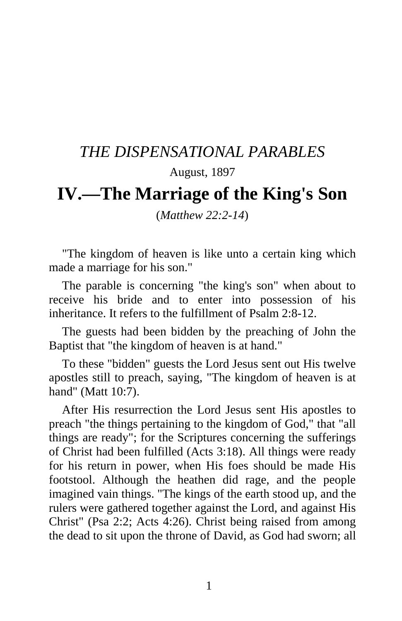## *THE DISPENSATIONAL PARABLES*

## August, 1897

## **IV.—The Marriage of the King's Son**

(*Matthew 22:2-14*)

"The kingdom of heaven is like unto a certain king which made a marriage for his son."

The parable is concerning "the king's son" when about to receive his bride and to enter into possession of his inheritance. It refers to the fulfillment of Psalm 2:8-12.

The guests had been bidden by the preaching of John the Baptist that "the kingdom of heaven is at hand."

To these "bidden" guests the Lord Jesus sent out His twelve apostles still to preach, saying, "The kingdom of heaven is at hand" (Matt 10:7).

After His resurrection the Lord Jesus sent His apostles to preach "the things pertaining to the kingdom of God," that "all things are ready"; for the Scriptures concerning the sufferings of Christ had been fulfilled (Acts 3:18). All things were ready for his return in power, when His foes should be made His footstool. Although the heathen did rage, and the people imagined vain things. "The kings of the earth stood up, and the rulers were gathered together against the Lord, and against His Christ" (Psa 2:2; Acts 4:26). Christ being raised from among the dead to sit upon the throne of David, as God had sworn; all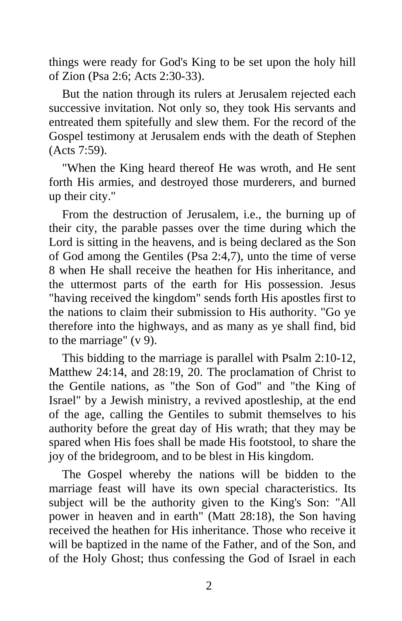things were ready for God's King to be set upon the holy hill of Zion (Psa 2:6; Acts 2:30-33).

But the nation through its rulers at Jerusalem rejected each successive invitation. Not only so, they took His servants and entreated them spitefully and slew them. For the record of the Gospel testimony at Jerusalem ends with the death of Stephen (Acts 7:59).

"When the King heard thereof He was wroth, and He sent forth His armies, and destroyed those murderers, and burned up their city."

From the destruction of Jerusalem, i.e., the burning up of their city, the parable passes over the time during which the Lord is sitting in the heavens, and is being declared as the Son of God among the Gentiles (Psa 2:4,7), unto the time of verse 8 when He shall receive the heathen for His inheritance, and the uttermost parts of the earth for His possession. Jesus "having received the kingdom" sends forth His apostles first to the nations to claim their submission to His authority. "Go ye therefore into the highways, and as many as ye shall find, bid to the marriage" (v 9).

This bidding to the marriage is parallel with Psalm 2:10-12, Matthew 24:14, and 28:19, 20. The proclamation of Christ to the Gentile nations, as "the Son of God" and "the King of Israel" by a Jewish ministry, a revived apostleship, at the end of the age, calling the Gentiles to submit themselves to his authority before the great day of His wrath; that they may be spared when His foes shall be made His footstool, to share the joy of the bridegroom, and to be blest in His kingdom.

The Gospel whereby the nations will be bidden to the marriage feast will have its own special characteristics. Its subject will be the authority given to the King's Son: "All power in heaven and in earth" (Matt 28:18), the Son having received the heathen for His inheritance. Those who receive it will be baptized in the name of the Father, and of the Son, and of the Holy Ghost; thus confessing the God of Israel in each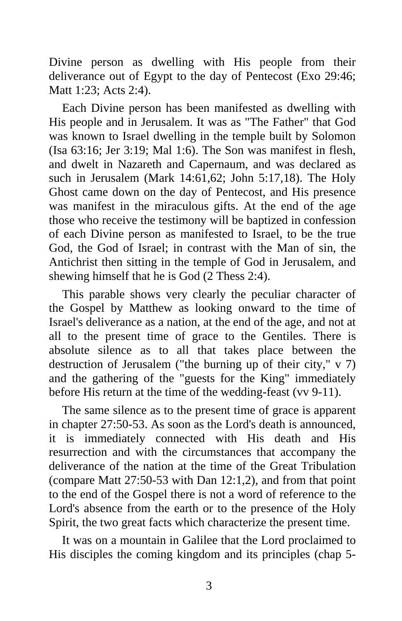Divine person as dwelling with His people from their deliverance out of Egypt to the day of Pentecost (Exo 29:46; Matt 1:23; Acts 2:4).

Each Divine person has been manifested as dwelling with His people and in Jerusalem. It was as "The Father" that God was known to Israel dwelling in the temple built by Solomon (Isa 63:16; Jer 3:19; Mal 1:6). The Son was manifest in flesh, and dwelt in Nazareth and Capernaum, and was declared as such in Jerusalem (Mark 14:61,62; John 5:17,18). The Holy Ghost came down on the day of Pentecost, and His presence was manifest in the miraculous gifts. At the end of the age those who receive the testimony will be baptized in confession of each Divine person as manifested to Israel, to be the true God, the God of Israel; in contrast with the Man of sin, the Antichrist then sitting in the temple of God in Jerusalem, and shewing himself that he is God (2 Thess 2:4).

This parable shows very clearly the peculiar character of the Gospel by Matthew as looking onward to the time of Israel's deliverance as a nation, at the end of the age, and not at all to the present time of grace to the Gentiles. There is absolute silence as to all that takes place between the destruction of Jerusalem ("the burning up of their city," v 7) and the gathering of the "guests for the King" immediately before His return at the time of the wedding-feast (vv 9-11).

The same silence as to the present time of grace is apparent in chapter 27:50-53. As soon as the Lord's death is announced, it is immediately connected with His death and His resurrection and with the circumstances that accompany the deliverance of the nation at the time of the Great Tribulation (compare Matt 27:50-53 with Dan 12:1,2), and from that point to the end of the Gospel there is not a word of reference to the Lord's absence from the earth or to the presence of the Holy Spirit, the two great facts which characterize the present time.

It was on a mountain in Galilee that the Lord proclaimed to His disciples the coming kingdom and its principles (chap 5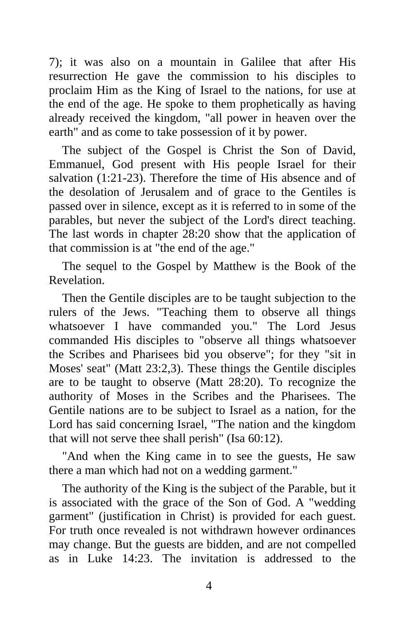7); it was also on a mountain in Galilee that after His resurrection He gave the commission to his disciples to proclaim Him as the King of Israel to the nations, for use at the end of the age. He spoke to them prophetically as having already received the kingdom, "all power in heaven over the earth" and as come to take possession of it by power.

The subject of the Gospel is Christ the Son of David, Emmanuel, God present with His people Israel for their salvation (1:21-23). Therefore the time of His absence and of the desolation of Jerusalem and of grace to the Gentiles is passed over in silence, except as it is referred to in some of the parables, but never the subject of the Lord's direct teaching. The last words in chapter 28:20 show that the application of that commission is at "the end of the age."

The sequel to the Gospel by Matthew is the Book of the Revelation.

Then the Gentile disciples are to be taught subjection to the rulers of the Jews. "Teaching them to observe all things whatsoever I have commanded you." The Lord Jesus commanded His disciples to "observe all things whatsoever the Scribes and Pharisees bid you observe"; for they "sit in Moses' seat" (Matt 23:2,3). These things the Gentile disciples are to be taught to observe (Matt 28:20). To recognize the authority of Moses in the Scribes and the Pharisees. The Gentile nations are to be subject to Israel as a nation, for the Lord has said concerning Israel, "The nation and the kingdom that will not serve thee shall perish" (Isa 60:12).

"And when the King came in to see the guests, He saw there a man which had not on a wedding garment."

The authority of the King is the subject of the Parable, but it is associated with the grace of the Son of God. A "wedding garment" (justification in Christ) is provided for each guest. For truth once revealed is not withdrawn however ordinances may change. But the guests are bidden, and are not compelled as in Luke 14:23. The invitation is addressed to the